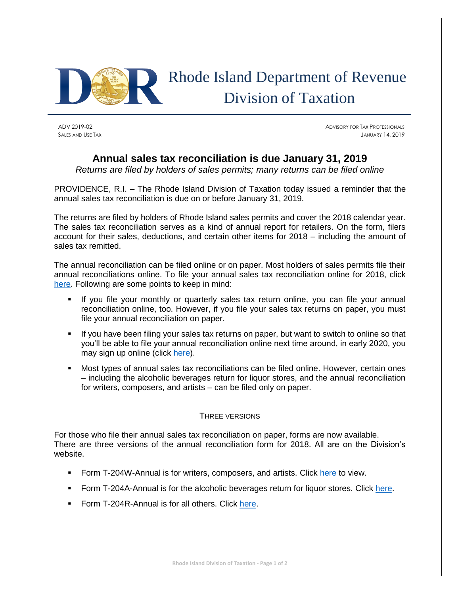

# Rhode Island Department of Revenue Division of Taxation

ADV 2019-02 ADVISORY FOR TAX PROFESSIONALS SALES AND USE TAX JANUARY 14, 2019

# **Annual sales tax reconciliation is due January 31, 2019**

*Returns are filed by holders of sales permits; many returns can be filed online* 

PROVIDENCE, R.I. – The Rhode Island Division of Taxation today issued a reminder that the annual sales tax reconciliation is due on or before January 31, 2019.

The returns are filed by holders of Rhode Island sales permits and cover the 2018 calendar year. The sales tax reconciliation serves as a kind of annual report for retailers. On the form, filers account for their sales, deductions, and certain other items for 2018 – including the amount of sales tax remitted.

The annual reconciliation can be filed online or on paper. Most holders of sales permits file their annual reconciliations online. To file your annual sales tax reconciliation online for 2018, click [here.](https://www.ri.gov/taxation/business/index.php) Following are some points to keep in mind:

- If you file your monthly or quarterly sales tax return online, you can file your annual reconciliation online, too. However, if you file your sales tax returns on paper, you must file your annual reconciliation on paper.
- If you have been filing your sales tax returns on paper, but want to switch to online so that you'll be able to file your annual reconciliation online next time around, in early 2020, you may sign up online (click [here\)](https://www.ri.gov/taxation/business/signup/).
- Most types of annual sales tax reconciliations can be filed online. However, certain ones – including the alcoholic beverages return for liquor stores, and the annual reconciliation for writers, composers, and artists – can be filed only on paper.

# THREE VERSIONS

For those who file their annual sales tax reconciliation on paper, forms are now available. There are three versions of the annual reconciliation form for 2018. All are on the Division's website.

- Form T-204W-Annual is for writers, composers, and artists. Click [here](http://www.tax.ri.gov/forms/2018/Excise/AnnualRecs/2018%20Artist%20Annual%20Rec_m.pdf) to view.
- Form T-204A-Annual is for the alcoholic beverages return for liquor stores. Click [here.](http://www.tax.ri.gov/forms/2018/Excise/AnnualRecs/2018%20Alcohol%20Beverage%20Annual%20Rec_m.pdf)
- **Form T-204R-Annual is for all others. Click [here.](http://www.tax.ri.gov/forms/2018/Excise/AnnualRecs/2018_T-204R_m.pdf)**